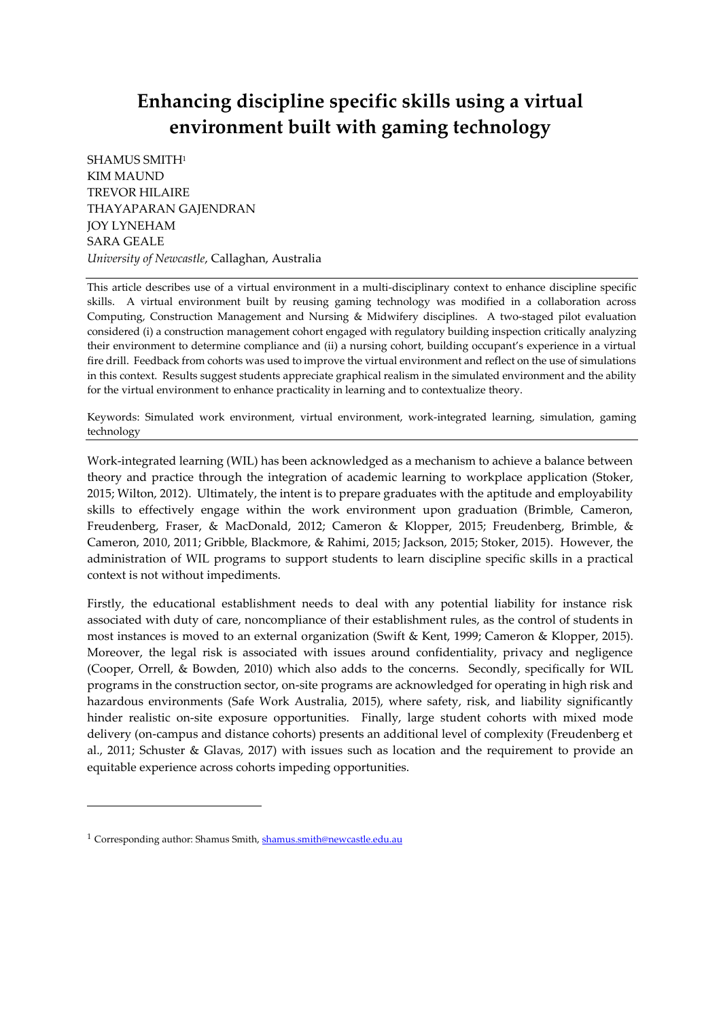# **Enhancing discipline specific skills using a virtual environment built with gaming technology**

SHAMUS SMITH<sup>1</sup> KIM MAUND TREVOR HILAIRE THAYAPARAN GAJENDRAN JOY LYNEHAM SARA GEALE *University of Newcastle*, Callaghan, Australia

This article describes use of a virtual environment in a multi-disciplinary context to enhance discipline specific skills. A virtual environment built by reusing gaming technology was modified in a collaboration across Computing, Construction Management and Nursing & Midwifery disciplines. A two-staged pilot evaluation considered (i) a construction management cohort engaged with regulatory building inspection critically analyzing their environment to determine compliance and (ii) a nursing cohort, building occupant's experience in a virtual fire drill. Feedback from cohorts was used to improve the virtual environment and reflect on the use of simulations in this context. Results suggest students appreciate graphical realism in the simulated environment and the ability for the virtual environment to enhance practicality in learning and to contextualize theory.

Keywords: Simulated work environment, virtual environment, work-integrated learning, simulation, gaming technology

Work-integrated learning (WIL) has been acknowledged as a mechanism to achieve a balance between theory and practice through the integration of academic learning to workplace application (Stoker, 2015; Wilton, 2012). Ultimately, the intent is to prepare graduates with the aptitude and employability skills to effectively engage within the work environment upon graduation (Brimble, Cameron, Freudenberg, Fraser, & MacDonald, 2012; Cameron & Klopper, 2015; Freudenberg, Brimble, & Cameron, 2010, 2011; Gribble, Blackmore, & Rahimi, 2015; Jackson, 2015; Stoker, 2015). However, the administration of WIL programs to support students to learn discipline specific skills in a practical context is not without impediments.

Firstly, the educational establishment needs to deal with any potential liability for instance risk associated with duty of care, noncompliance of their establishment rules, as the control of students in most instances is moved to an external organization (Swift & Kent, 1999; Cameron & Klopper, 2015). Moreover, the legal risk is associated with issues around confidentiality, privacy and negligence (Cooper, Orrell, & Bowden, 2010) which also adds to the concerns. Secondly, specifically for WIL programs in the construction sector, on-site programs are acknowledged for operating in high risk and hazardous environments (Safe Work Australia, 2015), where safety, risk, and liability significantly hinder realistic on-site exposure opportunities. Finally, large student cohorts with mixed mode delivery (on-campus and distance cohorts) presents an additional level of complexity (Freudenberg et al., 2011; Schuster & Glavas, 2017) with issues such as location and the requirement to provide an equitable experience across cohorts impeding opportunities.

-

<sup>&</sup>lt;sup>1</sup> Corresponding author: Shamus Smith[, shamus.smith@newcastle.edu.au](mailto:shamus.smith@newcastle.edu.au)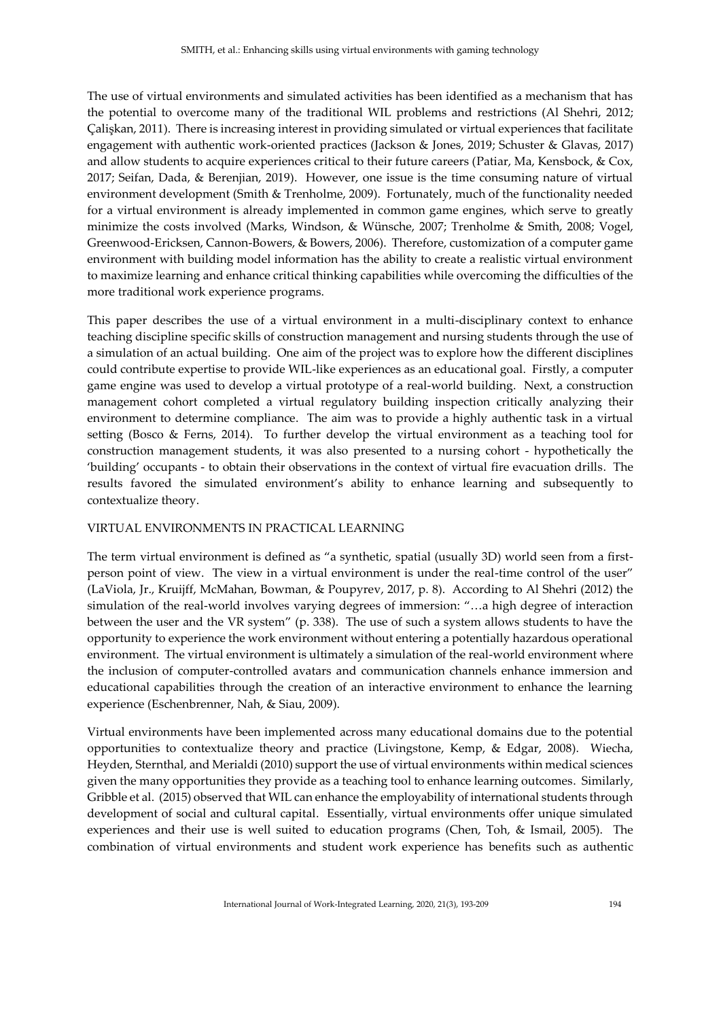The use of virtual environments and simulated activities has been identified as a mechanism that has the potential to overcome many of the traditional WIL problems and restrictions (Al Shehri, 2012; Çalişkan, 2011). There is increasing interest in providing simulated or virtual experiences that facilitate engagement with authentic work-oriented practices (Jackson & Jones, 2019; Schuster & Glavas, 2017) and allow students to acquire experiences critical to their future careers (Patiar, Ma, Kensbock, & Cox, 2017; Seifan, Dada, & Berenjian, 2019). However, one issue is the time consuming nature of virtual environment development (Smith & Trenholme, 2009). Fortunately, much of the functionality needed for a virtual environment is already implemented in common game engines, which serve to greatly minimize the costs involved (Marks, Windson, & Wünsche, 2007; Trenholme & Smith, 2008; Vogel, Greenwood-Ericksen, Cannon-Bowers, & Bowers, 2006). Therefore, customization of a computer game environment with building model information has the ability to create a realistic virtual environment to maximize learning and enhance critical thinking capabilities while overcoming the difficulties of the more traditional work experience programs.

This paper describes the use of a virtual environment in a multi-disciplinary context to enhance teaching discipline specific skills of construction management and nursing students through the use of a simulation of an actual building. One aim of the project was to explore how the different disciplines could contribute expertise to provide WIL-like experiences as an educational goal. Firstly, a computer game engine was used to develop a virtual prototype of a real-world building. Next, a construction management cohort completed a virtual regulatory building inspection critically analyzing their environment to determine compliance. The aim was to provide a highly authentic task in a virtual setting (Bosco & Ferns, 2014). To further develop the virtual environment as a teaching tool for construction management students, it was also presented to a nursing cohort - hypothetically the 'building' occupants - to obtain their observations in the context of virtual fire evacuation drills. The results favored the simulated environment's ability to enhance learning and subsequently to contextualize theory.

## VIRTUAL ENVIRONMENTS IN PRACTICAL LEARNING

The term virtual environment is defined as "a synthetic, spatial (usually 3D) world seen from a firstperson point of view. The view in a virtual environment is under the real-time control of the user" (LaViola, Jr., Kruijff, McMahan, Bowman, & Poupyrev, 2017, p. 8). According to Al Shehri (2012) the simulation of the real-world involves varying degrees of immersion: "…a high degree of interaction between the user and the VR system" (p. 338). The use of such a system allows students to have the opportunity to experience the work environment without entering a potentially hazardous operational environment. The virtual environment is ultimately a simulation of the real-world environment where the inclusion of computer-controlled avatars and communication channels enhance immersion and educational capabilities through the creation of an interactive environment to enhance the learning experience (Eschenbrenner, Nah, & Siau, 2009).

Virtual environments have been implemented across many educational domains due to the potential opportunities to contextualize theory and practice (Livingstone, Kemp, & Edgar, 2008). Wiecha, Heyden, Sternthal, and Merialdi (2010) support the use of virtual environments within medical sciences given the many opportunities they provide as a teaching tool to enhance learning outcomes. Similarly, Gribble et al. (2015) observed that WIL can enhance the employability of international students through development of social and cultural capital. Essentially, virtual environments offer unique simulated experiences and their use is well suited to education programs (Chen, Toh, & Ismail, 2005). The combination of virtual environments and student work experience has benefits such as authentic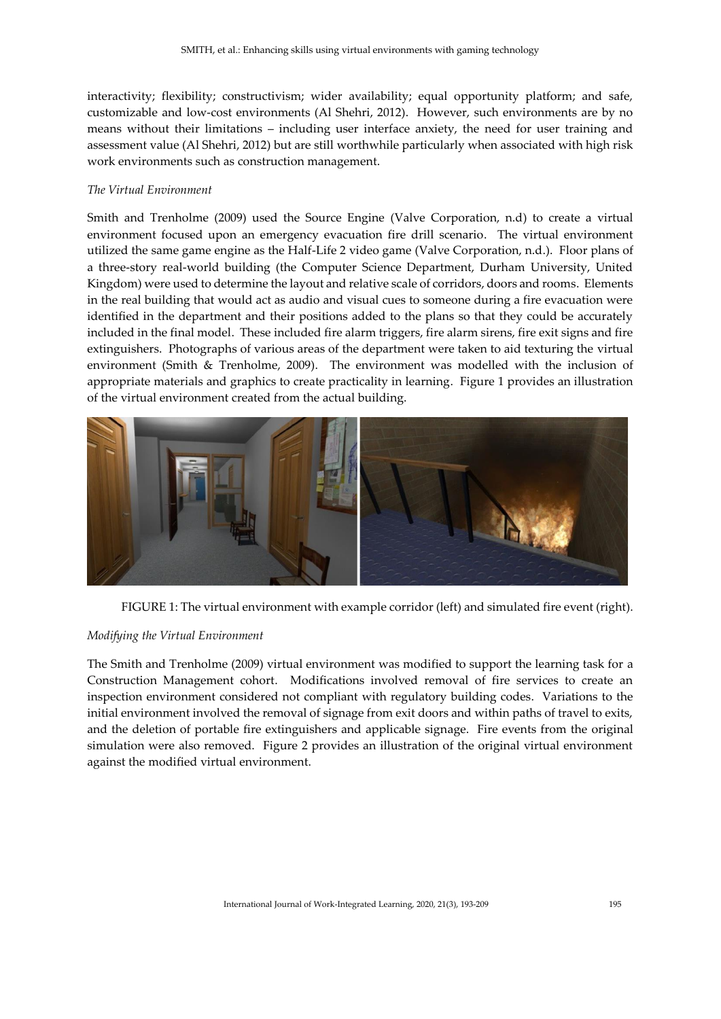interactivity; flexibility; constructivism; wider availability; equal opportunity platform; and safe, customizable and low-cost environments (Al Shehri, 2012). However, such environments are by no means without their limitations – including user interface anxiety, the need for user training and assessment value (Al Shehri, 2012) but are still worthwhile particularly when associated with high risk work environments such as construction management.

#### *The Virtual Environment*

Smith and Trenholme (2009) used the Source Engine (Valve Corporation, n.d) to create a virtual environment focused upon an emergency evacuation fire drill scenario. The virtual environment utilized the same game engine as the Half-Life 2 video game (Valve Corporation, n.d.). Floor plans of a three-story real-world building (the Computer Science Department, Durham University, United Kingdom) were used to determine the layout and relative scale of corridors, doors and rooms. Elements in the real building that would act as audio and visual cues to someone during a fire evacuation were identified in the department and their positions added to the plans so that they could be accurately included in the final model. These included fire alarm triggers, fire alarm sirens, fire exit signs and fire extinguishers. Photographs of various areas of the department were taken to aid texturing the virtual environment (Smith & Trenholme, 2009). The environment was modelled with the inclusion of appropriate materials and graphics to create practicality in learning. Figure 1 provides an illustration of the virtual environment created from the actual building.



FIGURE 1: The virtual environment with example corridor (left) and simulated fire event (right).

## *Modifying the Virtual Environment*

The Smith and Trenholme (2009) virtual environment was modified to support the learning task for a Construction Management cohort. Modifications involved removal of fire services to create an inspection environment considered not compliant with regulatory building codes. Variations to the initial environment involved the removal of signage from exit doors and within paths of travel to exits, and the deletion of portable fire extinguishers and applicable signage. Fire events from the original simulation were also removed. Figure 2 provides an illustration of the original virtual environment against the modified virtual environment.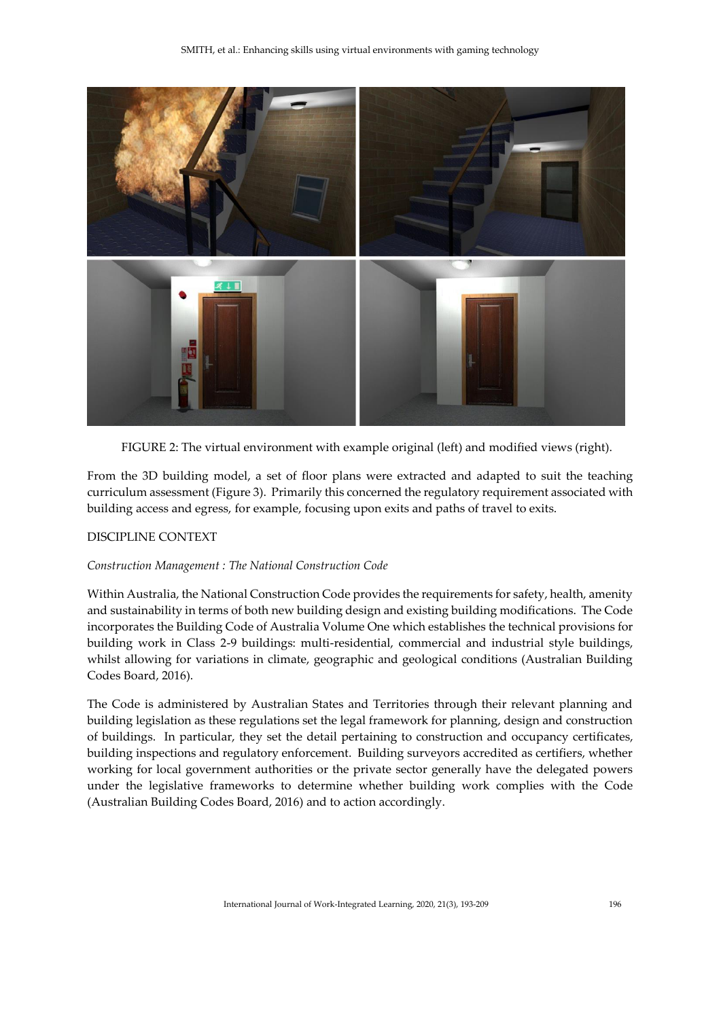

FIGURE 2: The virtual environment with example original (left) and modified views (right).

From the 3D building model, a set of floor plans were extracted and adapted to suit the teaching curriculum assessment (Figure 3). Primarily this concerned the regulatory requirement associated with building access and egress, for example, focusing upon exits and paths of travel to exits.

## DISCIPLINE CONTEXT

## *Construction Management : The National Construction Code*

Within Australia, the National Construction Code provides the requirements for safety, health, amenity and sustainability in terms of both new building design and existing building modifications. The Code incorporates the Building Code of Australia Volume One which establishes the technical provisions for building work in Class 2-9 buildings: multi-residential, commercial and industrial style buildings, whilst allowing for variations in climate, geographic and geological conditions (Australian Building Codes Board, 2016).

The Code is administered by Australian States and Territories through their relevant planning and building legislation as these regulations set the legal framework for planning, design and construction of buildings. In particular, they set the detail pertaining to construction and occupancy certificates, building inspections and regulatory enforcement. Building surveyors accredited as certifiers, whether working for local government authorities or the private sector generally have the delegated powers under the legislative frameworks to determine whether building work complies with the Code (Australian Building Codes Board, 2016) and to action accordingly.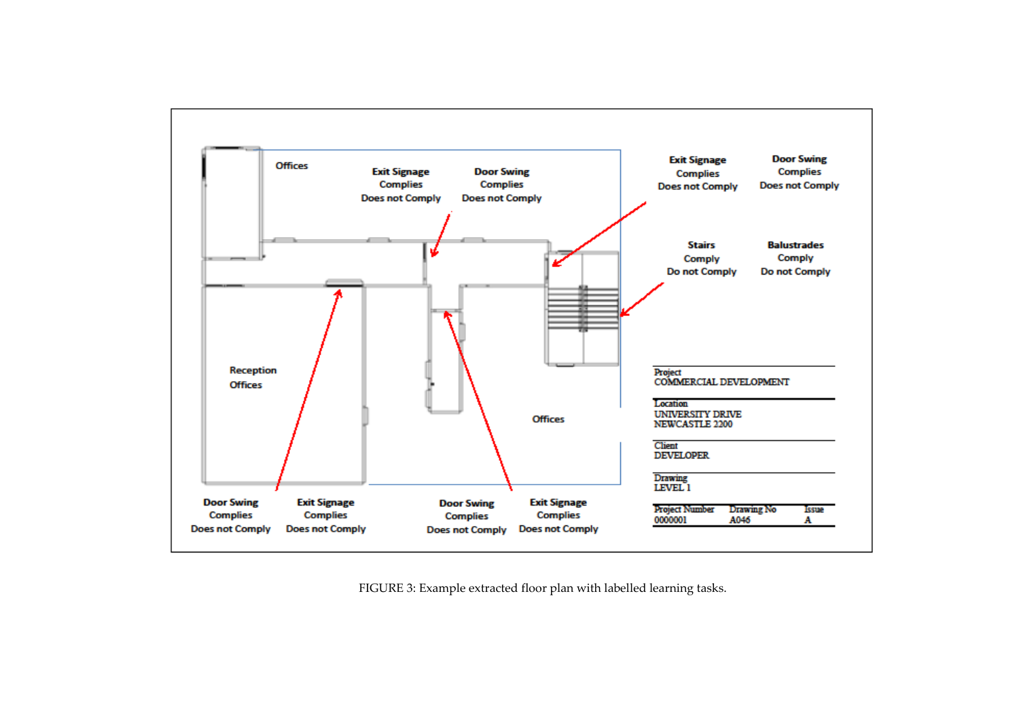

FIGURE 3: Example extracted floor plan with labelled learning tasks.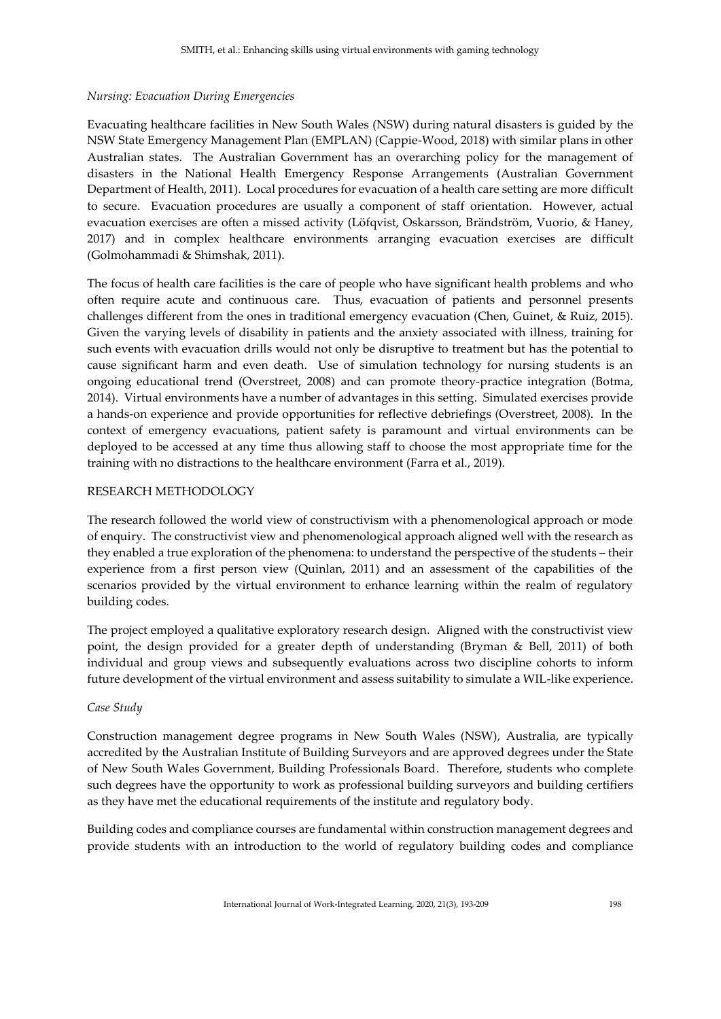#### *Nursing: Evacuation During Emergencies*

Evacuating healthcare facilities in New South Wales (NSW) during natural disasters is guided by the NSW State Emergency Management Plan (EMPLAN) (Cappie-Wood, 2018) with similar plans in other Australian states. The Australian Government has an overarching policy for the management of disasters in the National Health Emergency Response Arrangements (Australian Government Department of Health, 2011). Local procedures for evacuation of a health care setting are more difficult to secure. Evacuation procedures are usually a component of staff orientation. However, actual evacuation exercises are often a missed activity (Löfqvist, Oskarsson, Brändström, Vuorio, & Haney, 2017) and in complex healthcare environments arranging evacuation exercises are difficult (Golmohammadi & Shimshak, 2011).

The focus of health care facilities is the care of people who have significant health problems and who often require acute and continuous care. Thus, evacuation of patients and personnel presents challenges different from the ones in traditional emergency evacuation (Chen, Guinet, & Ruiz, 2015). Given the varying levels of disability in patients and the anxiety associated with illness, training for such events with evacuation drills would not only be disruptive to treatment but has the potential to cause significant harm and even death. Use of simulation technology for nursing students is an ongoing educational trend (Overstreet, 2008) and can promote theory-practice integration (Botma, 2014). Virtual environments have a number of advantages in this setting. Simulated exercises provide a hands-on experience and provide opportunities for reflective debriefings (Overstreet, 2008). In the context of emergency evacuations, patient safety is paramount and virtual environments can be deployed to be accessed at any time thus allowing staff to choose the most appropriate time for the training with no distractions to the healthcare environment (Farra et al., 2019).

## RESEARCH METHODOLOGY

The research followed the world view of constructivism with a phenomenological approach or mode of enquiry. The constructivist view and phenomenological approach aligned well with the research as they enabled a true exploration of the phenomena: to understand the perspective of the students – their experience from a first person view (Quinlan, 2011) and an assessment of the capabilities of the scenarios provided by the virtual environment to enhance learning within the realm of regulatory building codes.

The project employed a qualitative exploratory research design. Aligned with the constructivist view point, the design provided for a greater depth of understanding (Bryman & Bell, 2011) of both individual and group views and subsequently evaluations across two discipline cohorts to inform future development of the virtual environment and assess suitability to simulate a WIL-like experience.

## *Case Study*

Construction management degree programs in New South Wales (NSW), Australia, are typically accredited by the Australian Institute of Building Surveyors and are approved degrees under the State of New South Wales Government, Building Professionals Board. Therefore, students who complete such degrees have the opportunity to work as professional building surveyors and building certifiers as they have met the educational requirements of the institute and regulatory body.

Building codes and compliance courses are fundamental within construction management degrees and provide students with an introduction to the world of regulatory building codes and compliance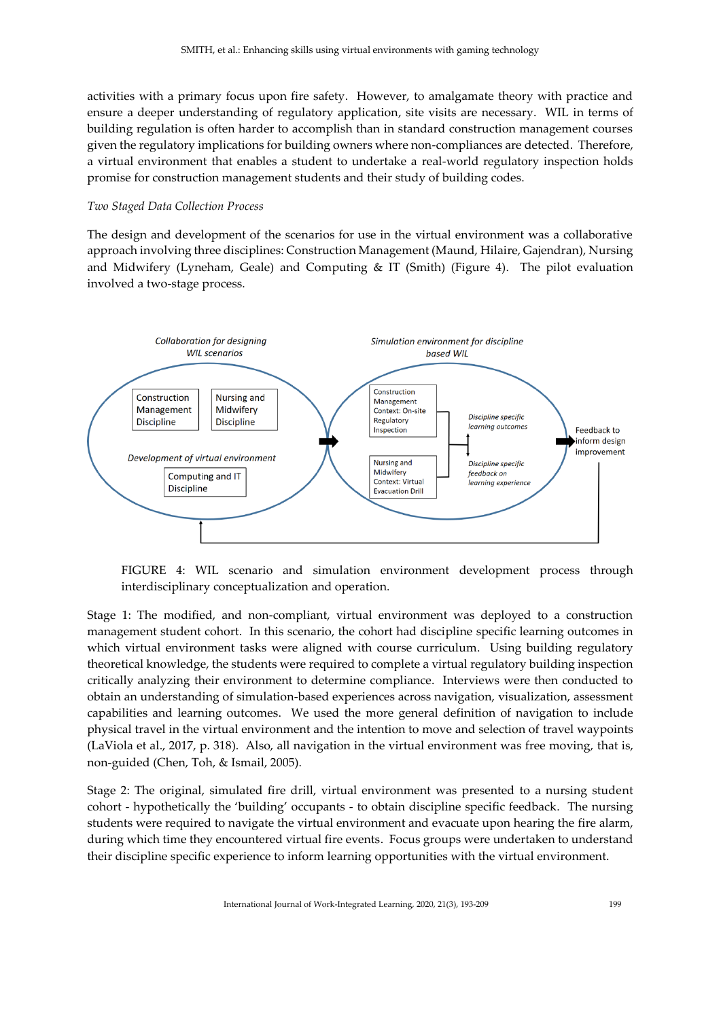activities with a primary focus upon fire safety. However, to amalgamate theory with practice and ensure a deeper understanding of regulatory application, site visits are necessary. WIL in terms of building regulation is often harder to accomplish than in standard construction management courses given the regulatory implications for building owners where non-compliances are detected. Therefore, a virtual environment that enables a student to undertake a real-world regulatory inspection holds promise for construction management students and their study of building codes.

#### *Two Staged Data Collection Process*

The design and development of the scenarios for use in the virtual environment was a collaborative approach involving three disciplines: Construction Management (Maund, Hilaire, Gajendran), Nursing and Midwifery (Lyneham, Geale) and Computing & IT (Smith) (Figure 4). The pilot evaluation involved a two-stage process.



FIGURE 4: WIL scenario and simulation environment development process through interdisciplinary conceptualization and operation.

Stage 1: The modified, and non-compliant, virtual environment was deployed to a construction management student cohort. In this scenario, the cohort had discipline specific learning outcomes in which virtual environment tasks were aligned with course curriculum. Using building regulatory theoretical knowledge, the students were required to complete a virtual regulatory building inspection critically analyzing their environment to determine compliance. Interviews were then conducted to obtain an understanding of simulation-based experiences across navigation, visualization, assessment capabilities and learning outcomes. We used the more general definition of navigation to include physical travel in the virtual environment and the intention to move and selection of travel waypoints (LaViola et al., 2017, p. 318). Also, all navigation in the virtual environment was free moving, that is, non-guided (Chen, Toh, & Ismail, 2005).

Stage 2: The original, simulated fire drill, virtual environment was presented to a nursing student cohort - hypothetically the 'building' occupants - to obtain discipline specific feedback. The nursing students were required to navigate the virtual environment and evacuate upon hearing the fire alarm, during which time they encountered virtual fire events. Focus groups were undertaken to understand their discipline specific experience to inform learning opportunities with the virtual environment.

International Journal of Work-Integrated Learning, 2020, 21(3), 193-209 199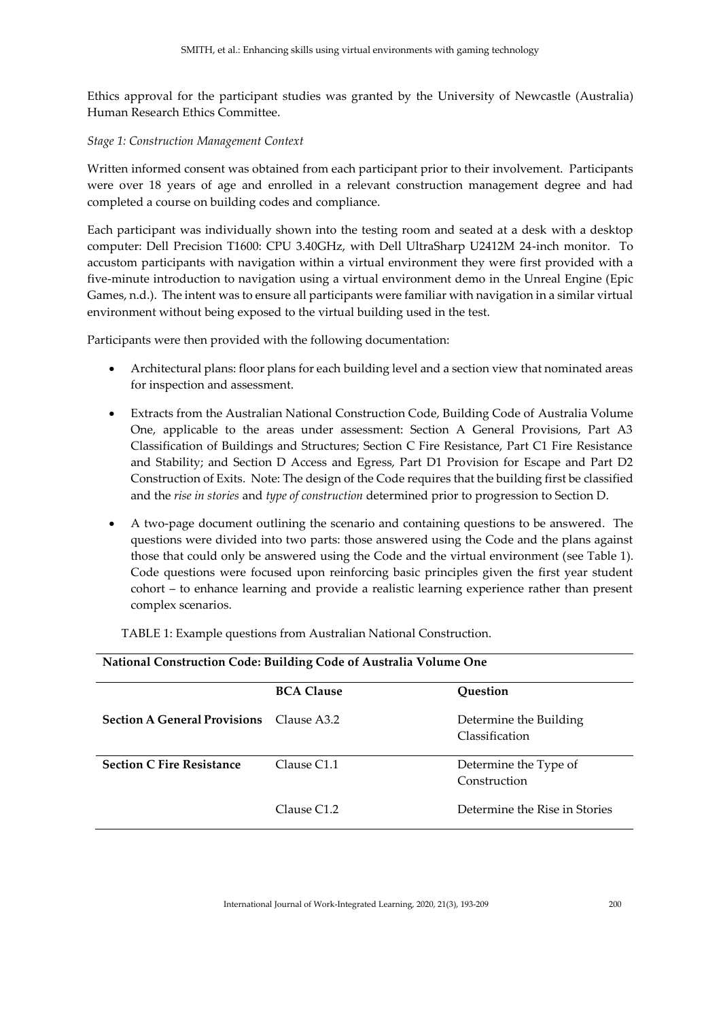Ethics approval for the participant studies was granted by the University of Newcastle (Australia) Human Research Ethics Committee.

#### *Stage 1: Construction Management Context*

Written informed consent was obtained from each participant prior to their involvement. Participants were over 18 years of age and enrolled in a relevant construction management degree and had completed a course on building codes and compliance.

Each participant was individually shown into the testing room and seated at a desk with a desktop computer: Dell Precision T1600: CPU 3.40GHz, with Dell UltraSharp U2412M 24-inch monitor. To accustom participants with navigation within a virtual environment they were first provided with a five-minute introduction to navigation using a virtual environment demo in the Unreal Engine (Epic Games, n.d.). The intent was to ensure all participants were familiar with navigation in a similar virtual environment without being exposed to the virtual building used in the test.

Participants were then provided with the following documentation:

- Architectural plans: floor plans for each building level and a section view that nominated areas for inspection and assessment.
- Extracts from the Australian National Construction Code, Building Code of Australia Volume One, applicable to the areas under assessment: Section A General Provisions, Part A3 Classification of Buildings and Structures; Section C Fire Resistance, Part C1 Fire Resistance and Stability; and Section D Access and Egress, Part D1 Provision for Escape and Part D2 Construction of Exits. Note: The design of the Code requires that the building first be classified and the *rise in stories* and *type of construction* determined prior to progression to Section D.
- A two-page document outlining the scenario and containing questions to be answered. The questions were divided into two parts: those answered using the Code and the plans against those that could only be answered using the Code and the virtual environment (see Table 1). Code questions were focused upon reinforcing basic principles given the first year student cohort – to enhance learning and provide a realistic learning experience rather than present complex scenarios.

| National Construction Code: Building Code of Australia Volume One |                   |                                          |
|-------------------------------------------------------------------|-------------------|------------------------------------------|
|                                                                   | <b>BCA Clause</b> | Ouestion                                 |
| <b>Section A General Provisions</b>                               | Clause A3.2       | Determine the Building<br>Classification |
| <b>Section C Fire Resistance</b>                                  | Clause C1.1       | Determine the Type of<br>Construction    |
|                                                                   | Clause C1.2       | Determine the Rise in Stories            |

TABLE 1: Example questions from Australian National Construction.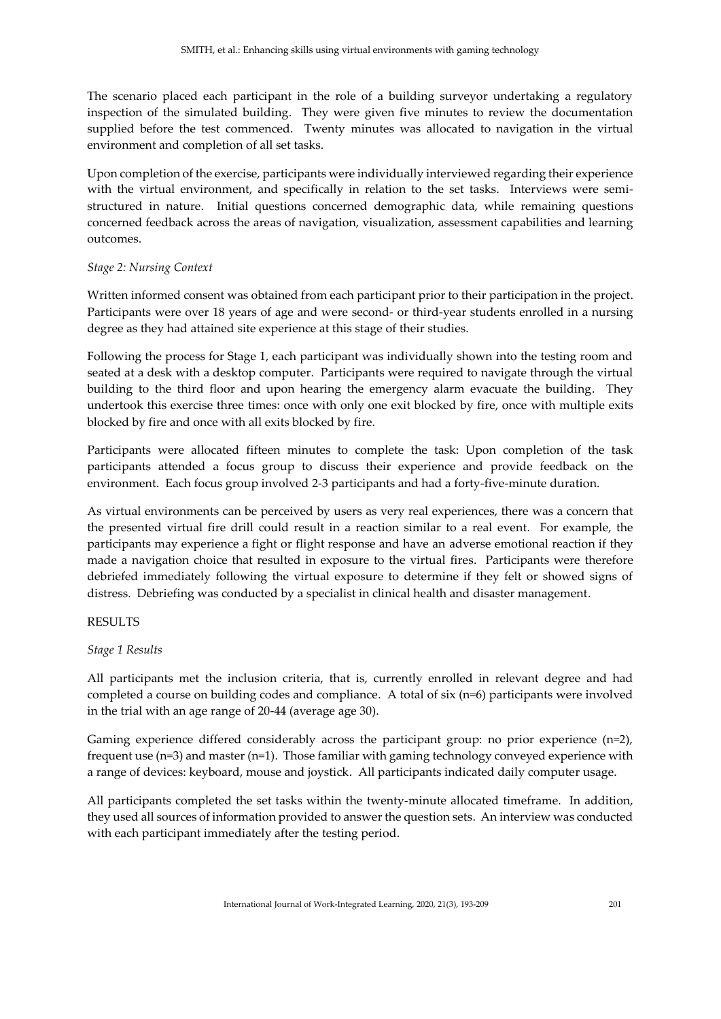The scenario placed each participant in the role of a building surveyor undertaking a regulatory inspection of the simulated building. They were given five minutes to review the documentation supplied before the test commenced. Twenty minutes was allocated to navigation in the virtual environment and completion of all set tasks.

Upon completion of the exercise, participants were individually interviewed regarding their experience with the virtual environment, and specifically in relation to the set tasks. Interviews were semistructured in nature. Initial questions concerned demographic data, while remaining questions concerned feedback across the areas of navigation, visualization, assessment capabilities and learning outcomes.

## *Stage 2: Nursing Context*

Written informed consent was obtained from each participant prior to their participation in the project. Participants were over 18 years of age and were second- or third-year students enrolled in a nursing degree as they had attained site experience at this stage of their studies.

Following the process for Stage 1, each participant was individually shown into the testing room and seated at a desk with a desktop computer. Participants were required to navigate through the virtual building to the third floor and upon hearing the emergency alarm evacuate the building. They undertook this exercise three times: once with only one exit blocked by fire, once with multiple exits blocked by fire and once with all exits blocked by fire.

Participants were allocated fifteen minutes to complete the task: Upon completion of the task participants attended a focus group to discuss their experience and provide feedback on the environment. Each focus group involved 2-3 participants and had a forty-five-minute duration.

As virtual environments can be perceived by users as very real experiences, there was a concern that the presented virtual fire drill could result in a reaction similar to a real event. For example, the participants may experience a fight or flight response and have an adverse emotional reaction if they made a navigation choice that resulted in exposure to the virtual fires. Participants were therefore debriefed immediately following the virtual exposure to determine if they felt or showed signs of distress. Debriefing was conducted by a specialist in clinical health and disaster management.

#### RESULTS

#### *Stage 1 Results*

All participants met the inclusion criteria, that is, currently enrolled in relevant degree and had completed a course on building codes and compliance. A total of  $six$  ( $n=6$ ) participants were involved in the trial with an age range of 20-44 (average age 30).

Gaming experience differed considerably across the participant group: no prior experience (n=2), frequent use (n=3) and master (n=1). Those familiar with gaming technology conveyed experience with a range of devices: keyboard, mouse and joystick. All participants indicated daily computer usage.

All participants completed the set tasks within the twenty-minute allocated timeframe. In addition, they used all sources of information provided to answer the question sets. An interview was conducted with each participant immediately after the testing period.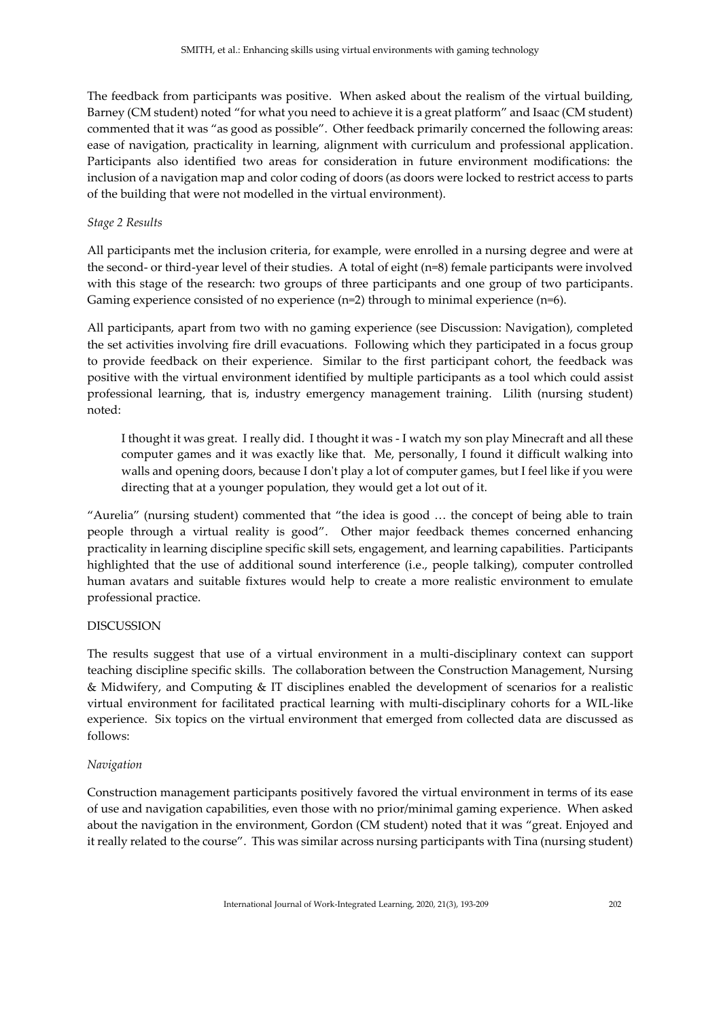The feedback from participants was positive. When asked about the realism of the virtual building, Barney (CM student) noted "for what you need to achieve it is a great platform" and Isaac (CM student) commented that it was "as good as possible". Other feedback primarily concerned the following areas: ease of navigation, practicality in learning, alignment with curriculum and professional application. Participants also identified two areas for consideration in future environment modifications: the inclusion of a navigation map and color coding of doors (as doors were locked to restrict access to parts of the building that were not modelled in the virtual environment).

#### *Stage 2 Results*

All participants met the inclusion criteria, for example, were enrolled in a nursing degree and were at the second- or third-year level of their studies. A total of eight (n=8) female participants were involved with this stage of the research: two groups of three participants and one group of two participants. Gaming experience consisted of no experience  $(n=2)$  through to minimal experience  $(n=6)$ .

All participants, apart from two with no gaming experience (see Discussion: Navigation), completed the set activities involving fire drill evacuations. Following which they participated in a focus group to provide feedback on their experience. Similar to the first participant cohort, the feedback was positive with the virtual environment identified by multiple participants as a tool which could assist professional learning, that is, industry emergency management training. Lilith (nursing student) noted:

I thought it was great. I really did. I thought it was - I watch my son play Minecraft and all these computer games and it was exactly like that. Me, personally, I found it difficult walking into walls and opening doors, because I don't play a lot of computer games, but I feel like if you were directing that at a younger population, they would get a lot out of it.

"Aurelia" (nursing student) commented that "the idea is good … the concept of being able to train people through a virtual reality is good". Other major feedback themes concerned enhancing practicality in learning discipline specific skill sets, engagement, and learning capabilities. Participants highlighted that the use of additional sound interference (i.e., people talking), computer controlled human avatars and suitable fixtures would help to create a more realistic environment to emulate professional practice.

## DISCUSSION

The results suggest that use of a virtual environment in a multi-disciplinary context can support teaching discipline specific skills. The collaboration between the Construction Management, Nursing & Midwifery, and Computing & IT disciplines enabled the development of scenarios for a realistic virtual environment for facilitated practical learning with multi-disciplinary cohorts for a WIL-like experience. Six topics on the virtual environment that emerged from collected data are discussed as follows:

#### *Navigation*

Construction management participants positively favored the virtual environment in terms of its ease of use and navigation capabilities, even those with no prior/minimal gaming experience. When asked about the navigation in the environment, Gordon (CM student) noted that it was "great. Enjoyed and it really related to the course". This was similar across nursing participants with Tina (nursing student)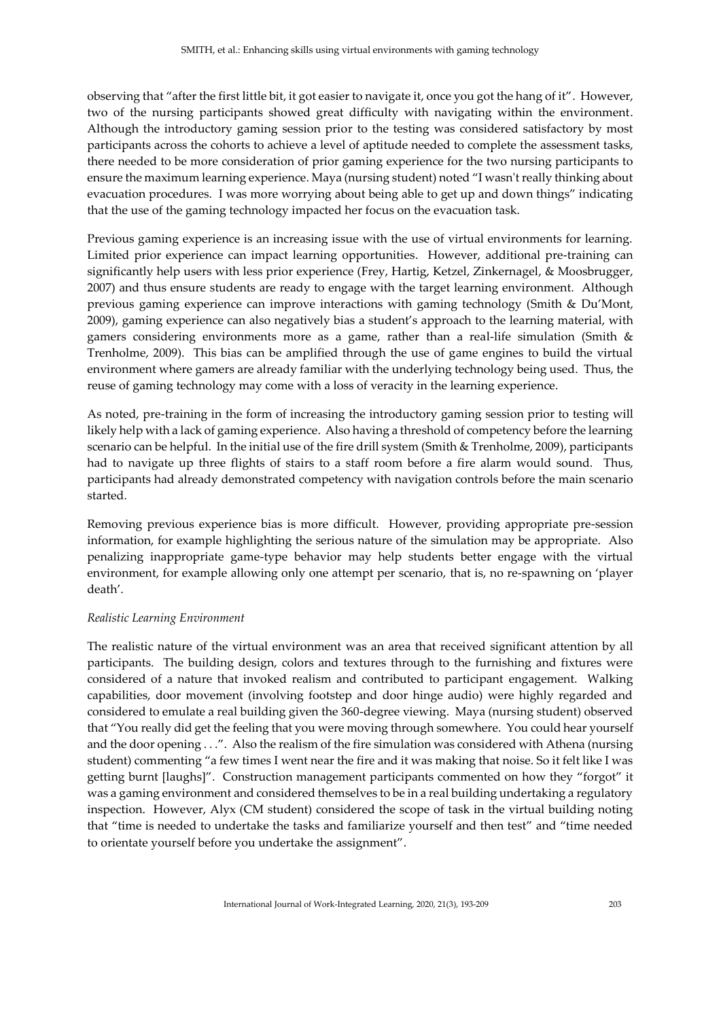observing that "after the first little bit, it got easier to navigate it, once you got the hang of it". However, two of the nursing participants showed great difficulty with navigating within the environment. Although the introductory gaming session prior to the testing was considered satisfactory by most participants across the cohorts to achieve a level of aptitude needed to complete the assessment tasks, there needed to be more consideration of prior gaming experience for the two nursing participants to ensure the maximum learning experience. Maya (nursing student) noted "I wasn't really thinking about evacuation procedures. I was more worrying about being able to get up and down things" indicating that the use of the gaming technology impacted her focus on the evacuation task.

Previous gaming experience is an increasing issue with the use of virtual environments for learning. Limited prior experience can impact learning opportunities. However, additional pre-training can significantly help users with less prior experience (Frey, Hartig, Ketzel, Zinkernagel, & Moosbrugger, 2007) and thus ensure students are ready to engage with the target learning environment. Although previous gaming experience can improve interactions with gaming technology (Smith & Du'Mont, 2009), gaming experience can also negatively bias a student's approach to the learning material, with gamers considering environments more as a game, rather than a real-life simulation (Smith & Trenholme, 2009). This bias can be amplified through the use of game engines to build the virtual environment where gamers are already familiar with the underlying technology being used. Thus, the reuse of gaming technology may come with a loss of veracity in the learning experience.

As noted, pre-training in the form of increasing the introductory gaming session prior to testing will likely help with a lack of gaming experience. Also having a threshold of competency before the learning scenario can be helpful. In the initial use of the fire drill system (Smith & Trenholme, 2009), participants had to navigate up three flights of stairs to a staff room before a fire alarm would sound. Thus, participants had already demonstrated competency with navigation controls before the main scenario started.

Removing previous experience bias is more difficult. However, providing appropriate pre-session information, for example highlighting the serious nature of the simulation may be appropriate. Also penalizing inappropriate game-type behavior may help students better engage with the virtual environment, for example allowing only one attempt per scenario, that is, no re-spawning on 'player death'.

#### *Realistic Learning Environment*

The realistic nature of the virtual environment was an area that received significant attention by all participants. The building design, colors and textures through to the furnishing and fixtures were considered of a nature that invoked realism and contributed to participant engagement. Walking capabilities, door movement (involving footstep and door hinge audio) were highly regarded and considered to emulate a real building given the 360-degree viewing. Maya (nursing student) observed that "You really did get the feeling that you were moving through somewhere. You could hear yourself and the door opening . . .". Also the realism of the fire simulation was considered with Athena (nursing student) commenting "a few times I went near the fire and it was making that noise. So it felt like I was getting burnt [laughs]". Construction management participants commented on how they "forgot" it was a gaming environment and considered themselves to be in a real building undertaking a regulatory inspection. However, Alyx (CM student) considered the scope of task in the virtual building noting that "time is needed to undertake the tasks and familiarize yourself and then test" and "time needed to orientate yourself before you undertake the assignment".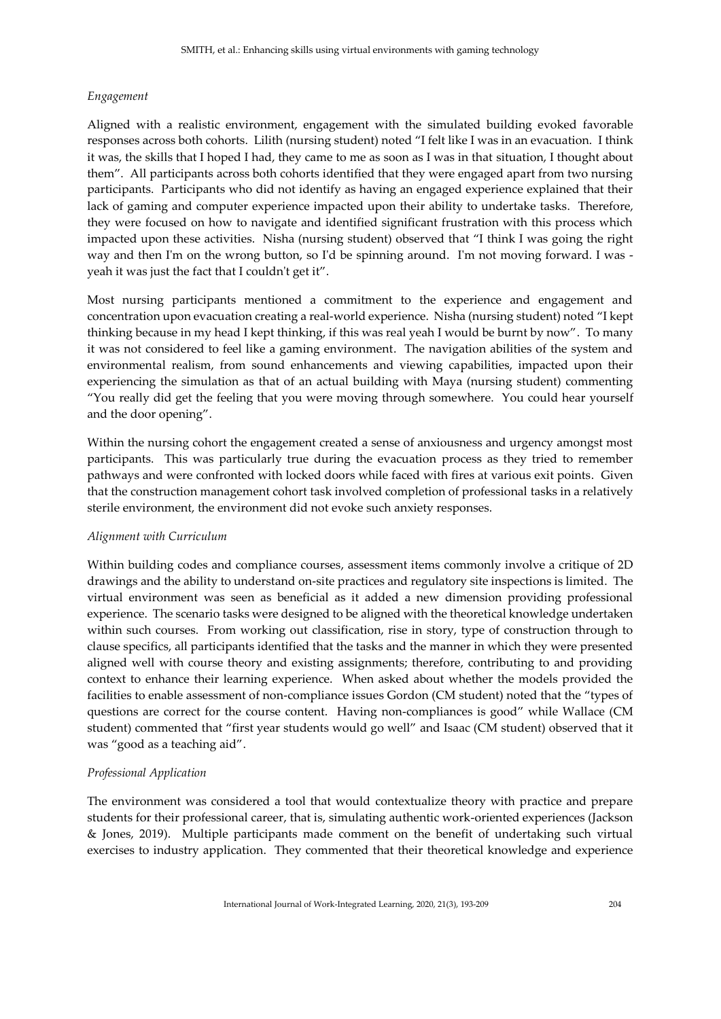## *Engagement*

Aligned with a realistic environment, engagement with the simulated building evoked favorable responses across both cohorts. Lilith (nursing student) noted "I felt like I was in an evacuation. I think it was, the skills that I hoped I had, they came to me as soon as I was in that situation, I thought about them". All participants across both cohorts identified that they were engaged apart from two nursing participants. Participants who did not identify as having an engaged experience explained that their lack of gaming and computer experience impacted upon their ability to undertake tasks. Therefore, they were focused on how to navigate and identified significant frustration with this process which impacted upon these activities. Nisha (nursing student) observed that "I think I was going the right way and then I'm on the wrong button, so I'd be spinning around. I'm not moving forward. I was yeah it was just the fact that I couldn't get it".

Most nursing participants mentioned a commitment to the experience and engagement and concentration upon evacuation creating a real-world experience. Nisha (nursing student) noted "I kept thinking because in my head I kept thinking, if this was real yeah I would be burnt by now". To many it was not considered to feel like a gaming environment. The navigation abilities of the system and environmental realism, from sound enhancements and viewing capabilities, impacted upon their experiencing the simulation as that of an actual building with Maya (nursing student) commenting "You really did get the feeling that you were moving through somewhere. You could hear yourself and the door opening".

Within the nursing cohort the engagement created a sense of anxiousness and urgency amongst most participants. This was particularly true during the evacuation process as they tried to remember pathways and were confronted with locked doors while faced with fires at various exit points. Given that the construction management cohort task involved completion of professional tasks in a relatively sterile environment, the environment did not evoke such anxiety responses.

## *Alignment with Curriculum*

Within building codes and compliance courses, assessment items commonly involve a critique of 2D drawings and the ability to understand on-site practices and regulatory site inspections is limited. The virtual environment was seen as beneficial as it added a new dimension providing professional experience. The scenario tasks were designed to be aligned with the theoretical knowledge undertaken within such courses. From working out classification, rise in story, type of construction through to clause specifics, all participants identified that the tasks and the manner in which they were presented aligned well with course theory and existing assignments; therefore, contributing to and providing context to enhance their learning experience. When asked about whether the models provided the facilities to enable assessment of non-compliance issues Gordon (CM student) noted that the "types of questions are correct for the course content. Having non-compliances is good" while Wallace (CM student) commented that "first year students would go well" and Isaac (CM student) observed that it was "good as a teaching aid".

## *Professional Application*

The environment was considered a tool that would contextualize theory with practice and prepare students for their professional career, that is, simulating authentic work-oriented experiences (Jackson & Jones, 2019). Multiple participants made comment on the benefit of undertaking such virtual exercises to industry application. They commented that their theoretical knowledge and experience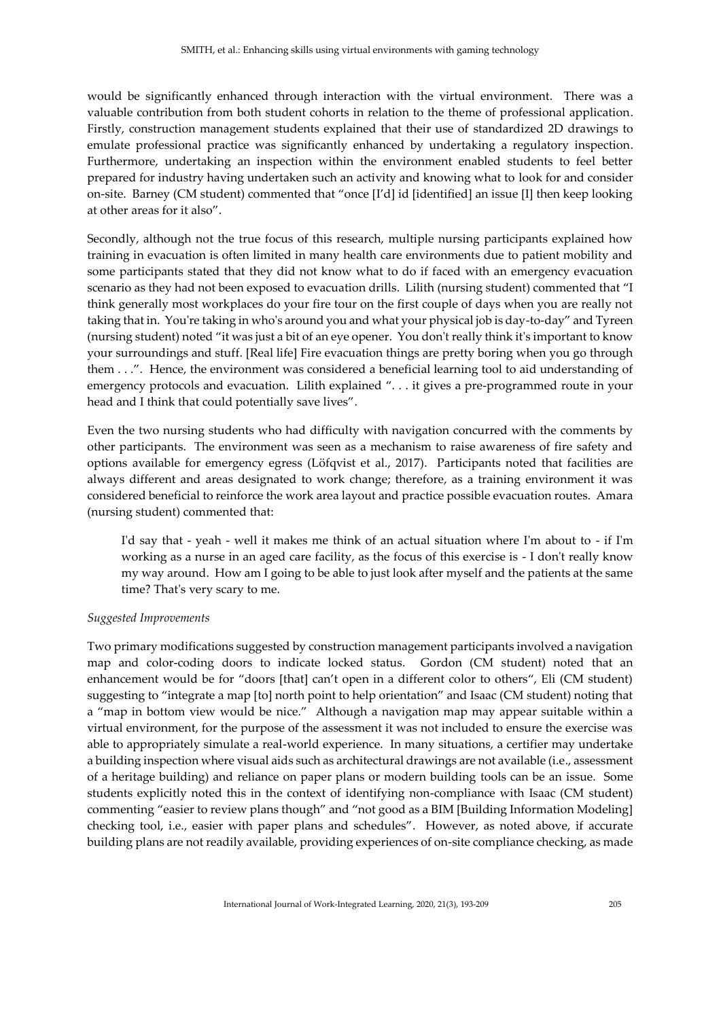would be significantly enhanced through interaction with the virtual environment. There was a valuable contribution from both student cohorts in relation to the theme of professional application. Firstly, construction management students explained that their use of standardized 2D drawings to emulate professional practice was significantly enhanced by undertaking a regulatory inspection. Furthermore, undertaking an inspection within the environment enabled students to feel better prepared for industry having undertaken such an activity and knowing what to look for and consider on-site. Barney (CM student) commented that "once [I'd] id [identified] an issue [I] then keep looking at other areas for it also".

Secondly, although not the true focus of this research, multiple nursing participants explained how training in evacuation is often limited in many health care environments due to patient mobility and some participants stated that they did not know what to do if faced with an emergency evacuation scenario as they had not been exposed to evacuation drills. Lilith (nursing student) commented that "I think generally most workplaces do your fire tour on the first couple of days when you are really not taking that in. You're taking in who's around you and what your physical job is day-to-day" and Tyreen (nursing student) noted "it was just a bit of an eye opener. You don't really think it's important to know your surroundings and stuff. [Real life] Fire evacuation things are pretty boring when you go through them . . .". Hence, the environment was considered a beneficial learning tool to aid understanding of emergency protocols and evacuation. Lilith explained "... it gives a pre-programmed route in your head and I think that could potentially save lives".

Even the two nursing students who had difficulty with navigation concurred with the comments by other participants. The environment was seen as a mechanism to raise awareness of fire safety and options available for emergency egress (Löfqvist et al., 2017). Participants noted that facilities are always different and areas designated to work change; therefore, as a training environment it was considered beneficial to reinforce the work area layout and practice possible evacuation routes. Amara (nursing student) commented that:

I'd say that - yeah - well it makes me think of an actual situation where I'm about to - if I'm working as a nurse in an aged care facility, as the focus of this exercise is - I don't really know my way around. How am I going to be able to just look after myself and the patients at the same time? That's very scary to me.

#### *Suggested Improvements*

Two primary modifications suggested by construction management participants involved a navigation map and color-coding doors to indicate locked status. Gordon (CM student) noted that an enhancement would be for "doors [that] can't open in a different color to others", Eli (CM student) suggesting to "integrate a map [to] north point to help orientation" and Isaac (CM student) noting that a "map in bottom view would be nice." Although a navigation map may appear suitable within a virtual environment, for the purpose of the assessment it was not included to ensure the exercise was able to appropriately simulate a real-world experience. In many situations, a certifier may undertake a building inspection where visual aids such as architectural drawings are not available (i.e., assessment of a heritage building) and reliance on paper plans or modern building tools can be an issue. Some students explicitly noted this in the context of identifying non-compliance with Isaac (CM student) commenting "easier to review plans though" and "not good as a BIM [Building Information Modeling] checking tool, i.e., easier with paper plans and schedules". However, as noted above, if accurate building plans are not readily available, providing experiences of on-site compliance checking, as made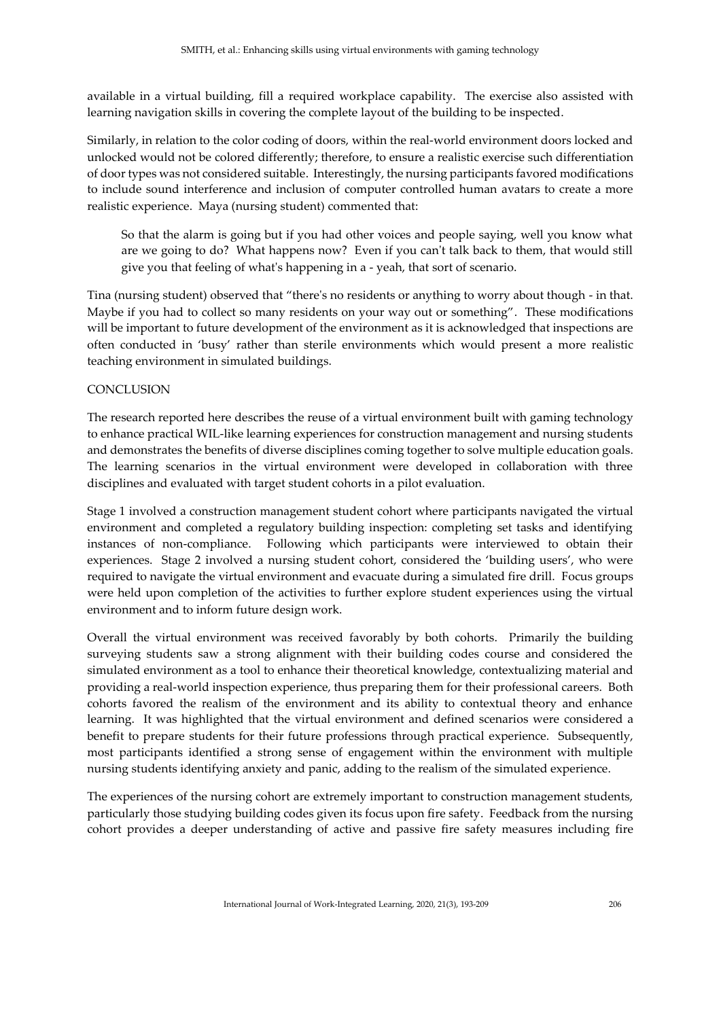available in a virtual building, fill a required workplace capability. The exercise also assisted with learning navigation skills in covering the complete layout of the building to be inspected.

Similarly, in relation to the color coding of doors, within the real-world environment doors locked and unlocked would not be colored differently; therefore, to ensure a realistic exercise such differentiation of door types was not considered suitable. Interestingly, the nursing participants favored modifications to include sound interference and inclusion of computer controlled human avatars to create a more realistic experience. Maya (nursing student) commented that:

So that the alarm is going but if you had other voices and people saying, well you know what are we going to do? What happens now? Even if you can't talk back to them, that would still give you that feeling of what's happening in a - yeah, that sort of scenario.

Tina (nursing student) observed that "there's no residents or anything to worry about though - in that. Maybe if you had to collect so many residents on your way out or something". These modifications will be important to future development of the environment as it is acknowledged that inspections are often conducted in 'busy' rather than sterile environments which would present a more realistic teaching environment in simulated buildings.

## **CONCLUSION**

The research reported here describes the reuse of a virtual environment built with gaming technology to enhance practical WIL-like learning experiences for construction management and nursing students and demonstrates the benefits of diverse disciplines coming together to solve multiple education goals. The learning scenarios in the virtual environment were developed in collaboration with three disciplines and evaluated with target student cohorts in a pilot evaluation.

Stage 1 involved a construction management student cohort where participants navigated the virtual environment and completed a regulatory building inspection: completing set tasks and identifying instances of non-compliance. Following which participants were interviewed to obtain their experiences. Stage 2 involved a nursing student cohort, considered the 'building users', who were required to navigate the virtual environment and evacuate during a simulated fire drill. Focus groups were held upon completion of the activities to further explore student experiences using the virtual environment and to inform future design work.

Overall the virtual environment was received favorably by both cohorts. Primarily the building surveying students saw a strong alignment with their building codes course and considered the simulated environment as a tool to enhance their theoretical knowledge, contextualizing material and providing a real-world inspection experience, thus preparing them for their professional careers. Both cohorts favored the realism of the environment and its ability to contextual theory and enhance learning. It was highlighted that the virtual environment and defined scenarios were considered a benefit to prepare students for their future professions through practical experience. Subsequently, most participants identified a strong sense of engagement within the environment with multiple nursing students identifying anxiety and panic, adding to the realism of the simulated experience.

The experiences of the nursing cohort are extremely important to construction management students, particularly those studying building codes given its focus upon fire safety. Feedback from the nursing cohort provides a deeper understanding of active and passive fire safety measures including fire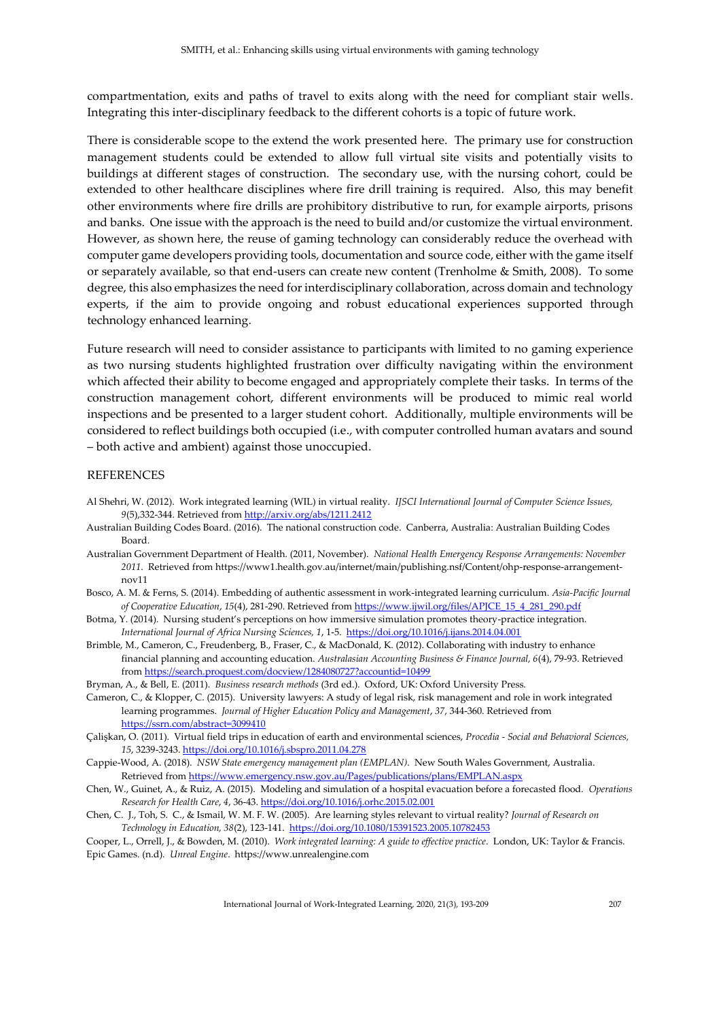compartmentation, exits and paths of travel to exits along with the need for compliant stair wells. Integrating this inter-disciplinary feedback to the different cohorts is a topic of future work.

There is considerable scope to the extend the work presented here. The primary use for construction management students could be extended to allow full virtual site visits and potentially visits to buildings at different stages of construction. The secondary use, with the nursing cohort, could be extended to other healthcare disciplines where fire drill training is required. Also, this may benefit other environments where fire drills are prohibitory distributive to run, for example airports, prisons and banks. One issue with the approach is the need to build and/or customize the virtual environment. However, as shown here, the reuse of gaming technology can considerably reduce the overhead with computer game developers providing tools, documentation and source code, either with the game itself or separately available, so that end-users can create new content (Trenholme & Smith, 2008). To some degree, this also emphasizes the need for interdisciplinary collaboration, across domain and technology experts, if the aim to provide ongoing and robust educational experiences supported through technology enhanced learning.

Future research will need to consider assistance to participants with limited to no gaming experience as two nursing students highlighted frustration over difficulty navigating within the environment which affected their ability to become engaged and appropriately complete their tasks. In terms of the construction management cohort, different environments will be produced to mimic real world inspections and be presented to a larger student cohort. Additionally, multiple environments will be considered to reflect buildings both occupied (i.e., with computer controlled human avatars and sound – both active and ambient) against those unoccupied.

#### REFERENCES

- Al Shehri, W. (2012). Work integrated learning (WIL) in virtual reality. *IJSCI International Journal of Computer Science Issues, 9*(5),332-344. Retrieved from<http://arxiv.org/abs/1211.2412>
- Australian Building Codes Board. (2016). The national construction code. Canberra, Australia: Australian Building Codes Board.
- Australian Government Department of Health. (2011, November). *National Health Emergency Response Arrangements: November 2011*. Retrieved from https://www1.health.gov.au/internet/main/publishing.nsf/Content/ohp-response-arrangementnov11
- Bosco, A. M. & Ferns, S. (2014). Embedding of authentic assessment in work-integrated learning curriculum. *Asia-Pacific Journal of Cooperative Education*, *15*(4), 281-290. Retrieved from [https://www.ijwil.org/files/APJCE\\_15\\_4\\_281\\_290.pdf](https://www.ijwil.org/files/APJCE_15_4_281_290.pdf)
- Botma, Y. (2014). Nursing student's perceptions on how immersive simulation promotes theory-practice integration. *International Journal of Africa Nursing Sciences, 1*, 1-5.<https://doi.org/10.1016/j.ijans.2014.04.001>
- Brimble, M., Cameron, C., Freudenberg, B., Fraser, C., & MacDonald, K. (2012). Collaborating with industry to enhance financial planning and accounting education. *Australasian Accounting Business & Finance Journal, 6*(4), 79-93. Retrieved fro[m https://search.proquest.com/docview/1284080727?accountid=10499](https://search.proquest.com/docview/1284080727?accountid=10499)

Bryman, A., & Bell, E. (2011). *Business research methods* (3rd ed.). Oxford, UK: Oxford University Press.

- Cameron, C., & Klopper, C. (2015). University lawyers: A study of legal risk, risk management and role in work integrated learning programmes. *Journal of Higher Education Policy and Management*, *37*, 344-360. Retrieved from <https://ssrn.com/abstract=3099410>
- Çalişkan, O. (2011). Virtual field trips in education of earth and environmental sciences, *Procedia - Social and Behavioral Sciences, 15*, 3239-3243[. https://doi.org/10.1016/j.sbspro.2011.04.278](https://doi.org/10.1016/j.sbspro.2011.04.278)
- Cappie-Wood, A. (2018). *NSW State emergency management plan (EMPLAN)*. New South Wales Government, Australia. Retrieved from<https://www.emergency.nsw.gov.au/Pages/publications/plans/EMPLAN.aspx>
- Chen, W., Guinet, A., & Ruiz, A. (2015). Modeling and simulation of a hospital evacuation before a forecasted flood. *Operations Research for Health Care*, *4*, 36-43[. https://doi.org/10.1016/j.orhc.2015.02.001](https://doi.org/10.1016/j.orhc.2015.02.001)
- Chen, C. J., Toh, S. C., & Ismail, W. M. F. W. (2005). Are learning styles relevant to virtual reality? *Journal of Research on Technology in Education, 38*(2), 123-141.<https://doi.org/10.1080/15391523.2005.10782453>
- Cooper, L., Orrell, J., & Bowden, M. (2010). *Work integrated learning: A guide to effective practice*. London, UK: Taylor & Francis. Epic Games. (n.d). *Unreal Engine*. https://www.unrealengine.com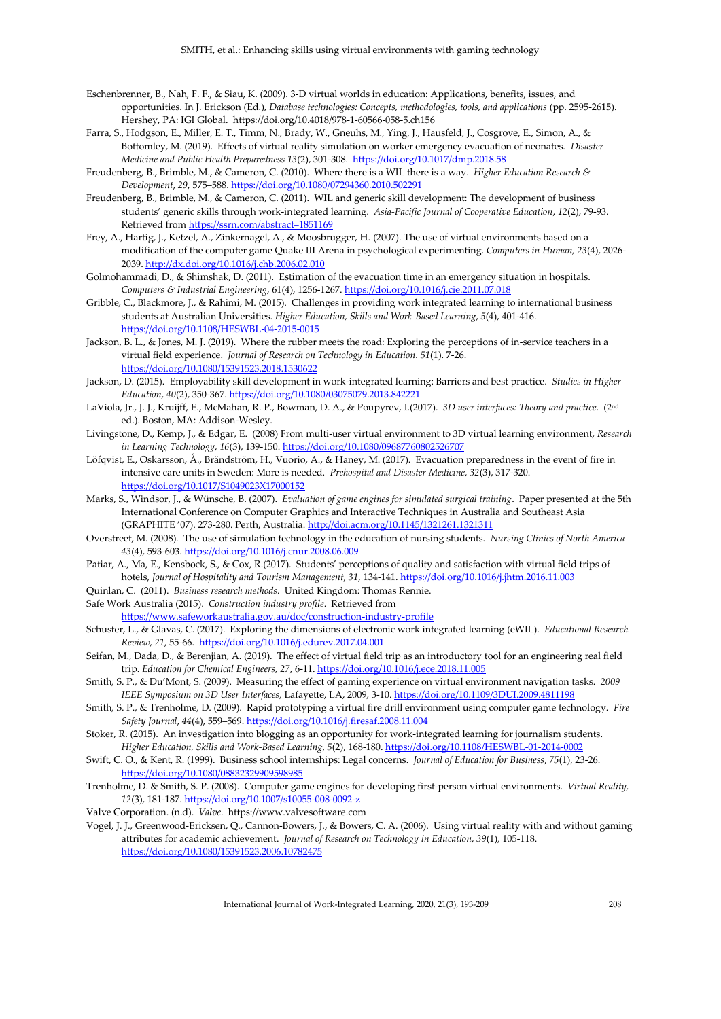- Eschenbrenner, B., Nah, F. F., & Siau, K. (2009). 3-D virtual worlds in education: Applications, benefits, issues, and opportunities. In J. Erickson (Ed.), *Database technologies: Concepts, methodologies, tools, and applications* (pp. 2595-2615). Hershey, PA: IGI Global. https://doi.org/10.4018/978-1-60566-058-5.ch156
- Farra, S., Hodgson, E., Miller, E. T., Timm, N., Brady, W., Gneuhs, M., Ying, J., Hausfeld, J., Cosgrove, E., Simon, A., & Bottomley, M. (2019). Effects of virtual reality simulation on worker emergency evacuation of neonates. *Disaster Medicine and Public Health Preparedness 13*(2), 301-308.<https://doi.org/10.1017/dmp.2018.58>
- Freudenberg, B., Brimble, M., & Cameron, C. (2010). Where there is a WIL there is a way. *Higher Education Research & Development*, *29*, 575–588[. https://doi.org/10.1080/07294360.2010.502291](https://doi.org/10.1080/07294360.2010.502291)
- Freudenberg, B., Brimble, M., & Cameron, C. (2011). WIL and generic skill development: The development of business students' generic skills through work-integrated learning. *Asia-Pacific Journal of Cooperative Education*, *12*(2), 79-93. Retrieved from<https://ssrn.com/abstract=1851169>
- Frey, A., Hartig, J., Ketzel, A., Zinkernagel, A., & Moosbrugger, H. (2007). The use of virtual environments based on a modification of the computer game Quake III Arena in psychological experimenting. *Computers in Human, 23*(4), 2026- 2039[. http://dx.doi.org/10.1016/j.chb.2006.02.010](http://dx.doi.org/10.1016/j.chb.2006.02.010)
- Golmohammadi, D., & Shimshak, D. (2011). Estimation of the evacuation time in an emergency situation in hospitals. *Computers & Industrial Engineering*, 61(4), 1256-1267[. https://doi.org/10.1016/j.cie.2011.07.018](https://doi.org/10.1016/j.cie.2011.07.018)
- Gribble, C., Blackmore, J., & Rahimi, M. (2015). Challenges in providing work integrated learning to international business students at Australian Universities. *Higher Education, Skills and Work-Based Learning*, *5*(4), 401-416. <https://doi.org/10.1108/HESWBL-04-2015-0015>
- Jackson, B. L., & Jones, M. J. (2019). Where the rubber meets the road: Exploring the perceptions of in-service teachers in a virtual field experience. *Journal of Research on Technology in Education*. *51*(1). 7-26. <https://doi.org/10.1080/15391523.2018.1530622>
- Jackson, D. (2015). Employability skill development in work-integrated learning: Barriers and best practice. *Studies in Higher Education*, *40*(2), 350-367. <https://doi.org/10.1080/03075079.2013.842221>
- LaViola, Jr., J. J., Kruijff, E., McMahan, R. P., Bowman, D. A., & Poupyrev, I.(2017). *3D user interfaces: Theory and practice*. (2nd ed.). Boston, MA: Addison-Wesley.
- Livingstone, D., Kemp, J., & Edgar, E. (2008) From multi-user virtual environment to 3D virtual learning environment, *Research in Learning Technology*, *16*(3), 139-150. <https://doi.org/10.1080/09687760802526707>
- Löfqvist, E., Oskarsson, Å., Brändström, H., Vuorio, A., & Haney, M. (2017). Evacuation preparedness in the event of fire in intensive care units in Sweden: More is needed. *Prehospital and Disaster Medicine, 32*(3), 317-320. <https://doi.org/10.1017/S1049023X17000152>
- Marks, S., Windsor, J., & Wünsche, B. (2007). *Evaluation of game engines for simulated surgical training*. Paper presented at the 5th International Conference on Computer Graphics and Interactive Techniques in Australia and Southeast Asia (GRAPHITE '07). 273-280. Perth, Australia[. http://doi.acm.org/10.1145/1321261.1321311](http://doi.acm.org/10.1145/1321261.1321311)
- Overstreet, M. (2008). The use of simulation technology in the education of nursing students. *Nursing Clinics of North America 43*(4), 593-603[. https://doi.org/10.1016/j.cnur.2008.06.009](https://doi.org/10.1016/j.cnur.2008.06.009)
- Patiar, A., Ma, E., Kensbock, S., & Cox, R.(2017). Students' perceptions of quality and satisfaction with virtual field trips of hotels, *Journal of Hospitality and Tourism Management, 31*, 134-141[. https://doi.org/10.1016/j.jhtm.2016.11.003](https://doi.org/10.1016/j.jhtm.2016.11.003)
- Quinlan, C. (2011). *Business research methods*. United Kingdom: Thomas Rennie.
- Safe Work Australia (2015). *Construction industry profile*. Retrieved from
- <https://www.safeworkaustralia.gov.au/doc/construction-industry-profile>
- Schuster, L., & Glavas, C. (2017). Exploring the dimensions of electronic work integrated learning (eWIL). *Educational Research Review, 21*, 55-66.<https://doi.org/10.1016/j.edurev.2017.04.001>
- Seifan, M., Dada, D., & Berenjian, A. (2019). The effect of virtual field trip as an introductory tool for an engineering real field trip. *Education for Chemical Engineers, 27*, 6-11[. https://doi.org/10.1016/j.ece.2018.11.005](https://doi.org/10.1016/j.ece.2018.11.005)
- Smith, S. P., & Du'Mont, S. (2009). Measuring the effect of gaming experience on virtual environment navigation tasks. *2009 IEEE Symposium on 3D User Interfaces*, Lafayette, LA, 2009, 3-10[. https://doi.org/10.1109/3DUI.2009.4811198](https://doi.org/10.1109/3DUI.2009.4811198)
- Smith, S. P., & Trenholme, D. (2009). Rapid prototyping a virtual fire drill environment using computer game technology. *Fire Safety Journal*, *44*(4), 559–569[. https://doi.org/10.1016/j.firesaf.2008.11.004](https://doi.org/10.1016/j.firesaf.2008.11.004)
- Stoker, R. (2015). An investigation into blogging as an opportunity for work-integrated learning for journalism students. *Higher Education, Skills and Work-Based Learning*, *5*(2), 168-180. <https://doi.org/10.1108/HESWBL-01-2014-0002>
- Swift, C. O., & Kent, R. (1999). Business school internships: Legal concerns. *Journal of Education for Business*, *75*(1), 23-26. <https://doi.org/10.1080/08832329909598985>
- Trenholme, D. & Smith, S. P. (2008). Computer game engines for developing first-person virtual environments. *Virtual Reality, 12*(3), 181-187[. https://doi.org/10.1007/s10055-008-0092-z](https://doi.org/10.1007/s10055-008-0092-z)
- Valve Corporation. (n.d). *Valve*. https://www.valvesoftware.com
- Vogel, J. J., Greenwood-Ericksen, Q., Cannon-Bowers, J., & Bowers, C. A. (2006). Using virtual reality with and without gaming attributes for academic achievement. *Journal of Research on Technology in Education*, *39*(1), 105-118. <https://doi.org/10.1080/15391523.2006.10782475>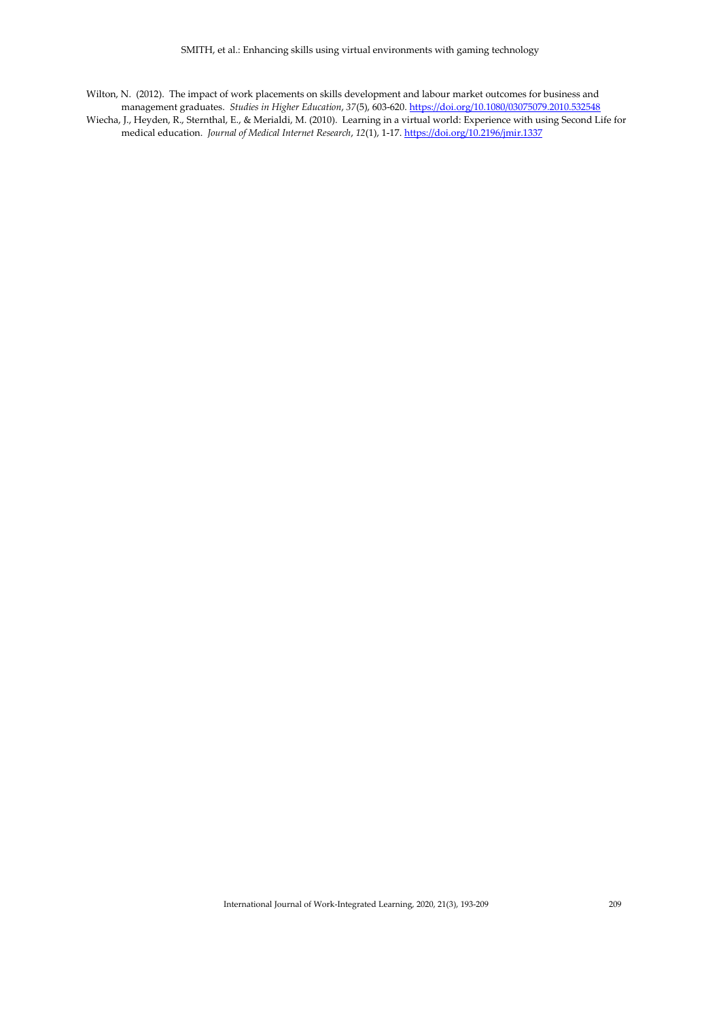Wilton, N. (2012). The impact of work placements on skills development and labour market outcomes for business and management graduates. *Studies in Higher Education*, *37*(5), 603-620. <https://doi.org/10.1080/03075079.2010.532548>

Wiecha, J., Heyden, R., Sternthal, E., & Merialdi, M. (2010). Learning in a virtual world: Experience with using Second Life for medical education. *Journal of Medical Internet Research*, *12*(1), 1-17. <https://doi.org/10.2196/jmir.1337>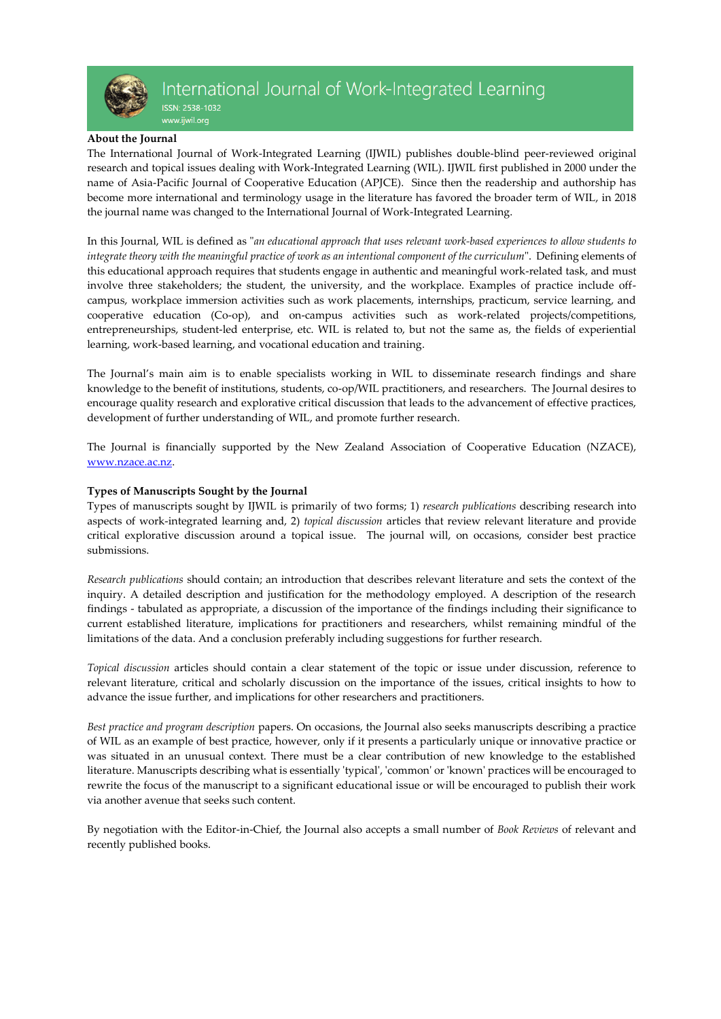

ISSN: 2538-1032 www.ijwil.org

#### **About the Journal**

The International Journal of Work-Integrated Learning (IJWIL) publishes double-blind peer-reviewed original research and topical issues dealing with Work-Integrated Learning (WIL). IJWIL first published in 2000 under the name of Asia-Pacific Journal of Cooperative Education (APJCE). Since then the readership and authorship has become more international and terminology usage in the literature has favored the broader term of WIL, in 2018 the journal name was changed to the International Journal of Work-Integrated Learning.

In this Journal, WIL is defined as "*an educational approach that uses relevant work-based experiences to allow students to integrate theory with the meaningful practice of work as an intentional component of the curriculum*". Defining elements of this educational approach requires that students engage in authentic and meaningful work-related task, and must involve three stakeholders; the student, the university, and the workplace. Examples of practice include offcampus, workplace immersion activities such as work placements, internships, practicum, service learning, and cooperative education (Co-op), and on-campus activities such as work-related projects/competitions, entrepreneurships, student-led enterprise, etc. WIL is related to, but not the same as, the fields of experiential learning, work-based learning, and vocational education and training.

The Journal's main aim is to enable specialists working in WIL to disseminate research findings and share knowledge to the benefit of institutions, students, co-op/WIL practitioners, and researchers. The Journal desires to encourage quality research and explorative critical discussion that leads to the advancement of effective practices, development of further understanding of WIL, and promote further research.

The Journal is financially supported by the New Zealand Association of Cooperative Education (NZACE), [www.nzace.ac.nz.](http://www.nzace.ac.nz/)

## **Types of Manuscripts Sought by the Journal**

Types of manuscripts sought by IJWIL is primarily of two forms; 1) *research publications* describing research into aspects of work-integrated learning and, 2) *topical discussion* articles that review relevant literature and provide critical explorative discussion around a topical issue. The journal will, on occasions, consider best practice submissions.

*Research publications* should contain; an introduction that describes relevant literature and sets the context of the inquiry. A detailed description and justification for the methodology employed. A description of the research findings - tabulated as appropriate, a discussion of the importance of the findings including their significance to current established literature, implications for practitioners and researchers, whilst remaining mindful of the limitations of the data. And a conclusion preferably including suggestions for further research.

*Topical discussion* articles should contain a clear statement of the topic or issue under discussion, reference to relevant literature, critical and scholarly discussion on the importance of the issues, critical insights to how to advance the issue further, and implications for other researchers and practitioners.

*Best practice and program description* papers. On occasions, the Journal also seeks manuscripts describing a practice of WIL as an example of best practice, however, only if it presents a particularly unique or innovative practice or was situated in an unusual context. There must be a clear contribution of new knowledge to the established literature. Manuscripts describing what is essentially 'typical', 'common' or 'known' practices will be encouraged to rewrite the focus of the manuscript to a significant educational issue or will be encouraged to publish their work via another avenue that seeks such content.

By negotiation with the Editor-in-Chief, the Journal also accepts a small number of *Book Reviews* of relevant and recently published books.